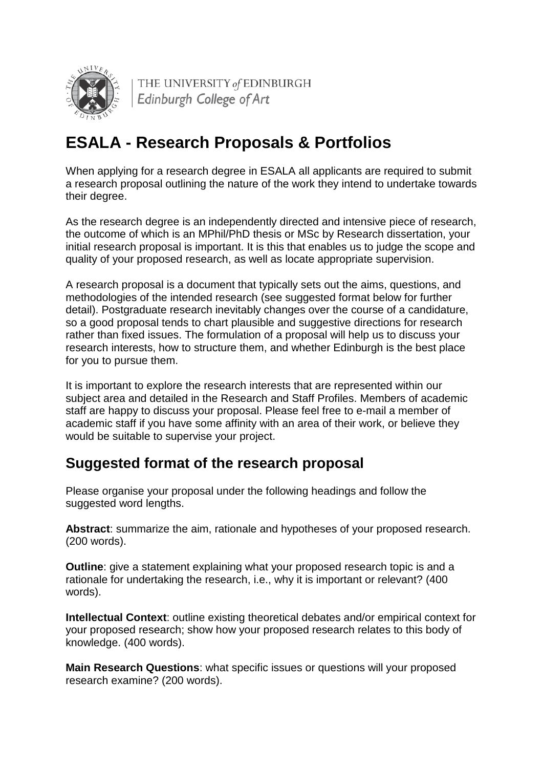

THE UNIVERSITY of EDINBURGH Edinburgh College of Art

# **ESALA - Research Proposals & Portfolios**

When applying for a research degree in ESALA all applicants are required to submit a research proposal outlining the nature of the work they intend to undertake towards their degree.

As the research degree is an independently directed and intensive piece of research, the outcome of which is an MPhil/PhD thesis or MSc by Research dissertation, your initial research proposal is important. It is this that enables us to judge the scope and quality of your proposed research, as well as locate appropriate supervision.

A research proposal is a document that typically sets out the aims, questions, and methodologies of the intended research (see suggested format below for further detail). Postgraduate research inevitably changes over the course of a candidature, so a good proposal tends to chart plausible and suggestive directions for research rather than fixed issues. The formulation of a proposal will help us to discuss your research interests, how to structure them, and whether Edinburgh is the best place for you to pursue them.

It is important to explore the research interests that are represented within our subject area and detailed in the Research and Staff Profiles. Members of academic staff are happy to discuss your proposal. Please feel free to e-mail a member of academic staff if you have some affinity with an area of their work, or believe they would be suitable to supervise your project.

## **Suggested format of the research proposal**

Please organise your proposal under the following headings and follow the suggested word lengths.

**Abstract**: summarize the aim, rationale and hypotheses of your proposed research. (200 words).

**Outline**: give a statement explaining what your proposed research topic is and a rationale for undertaking the research, i.e., why it is important or relevant? (400 words).

**Intellectual Context**: outline existing theoretical debates and/or empirical context for your proposed research; show how your proposed research relates to this body of knowledge. (400 words).

**Main Research Questions**: what specific issues or questions will your proposed research examine? (200 words).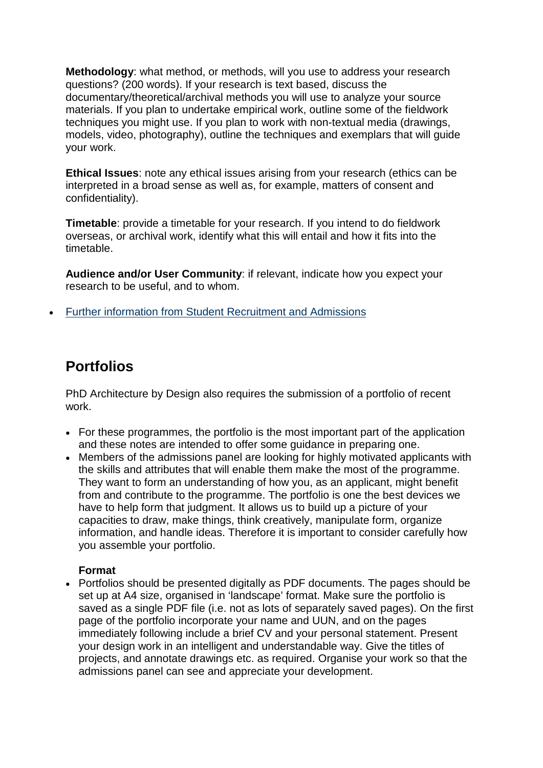**Methodology**: what method, or methods, will you use to address your research questions? (200 words). If your research is text based, discuss the documentary/theoretical/archival methods you will use to analyze your source materials. If you plan to undertake empirical work, outline some of the fieldwork techniques you might use. If you plan to work with non-textual media (drawings, models, video, photography), outline the techniques and exemplars that will guide your work.

**Ethical Issues**: note any ethical issues arising from your research (ethics can be interpreted in a broad sense as well as, for example, matters of consent and confidentiality).

**Timetable**: provide a timetable for your research. If you intend to do fieldwork overseas, or archival work, identify what this will entail and how it fits into the timetable.

**Audience and/or User Community**: if relevant, indicate how you expect your research to be useful, and to whom.

• [Further information from Student Recruitment and Admissions](http://www.ed.ac.uk/polopoly_fs/2.9245!/fileManager/HowToWriteProposal.pdf)

## **Portfolios**

PhD Architecture by Design also requires the submission of a portfolio of recent work.

- For these programmes, the portfolio is the most important part of the application and these notes are intended to offer some guidance in preparing one.
- Members of the admissions panel are looking for highly motivated applicants with the skills and attributes that will enable them make the most of the programme. They want to form an understanding of how you, as an applicant, might benefit from and contribute to the programme. The portfolio is one the best devices we have to help form that judgment. It allows us to build up a picture of your capacities to draw, make things, think creatively, manipulate form, organize information, and handle ideas. Therefore it is important to consider carefully how you assemble your portfolio.

#### **Format**

• Portfolios should be presented digitally as PDF documents. The pages should be set up at A4 size, organised in 'landscape' format. Make sure the portfolio is saved as a single PDF file (i.e. not as lots of separately saved pages). On the first page of the portfolio incorporate your name and UUN, and on the pages immediately following include a brief CV and your personal statement. Present your design work in an intelligent and understandable way. Give the titles of projects, and annotate drawings etc. as required. Organise your work so that the admissions panel can see and appreciate your development.